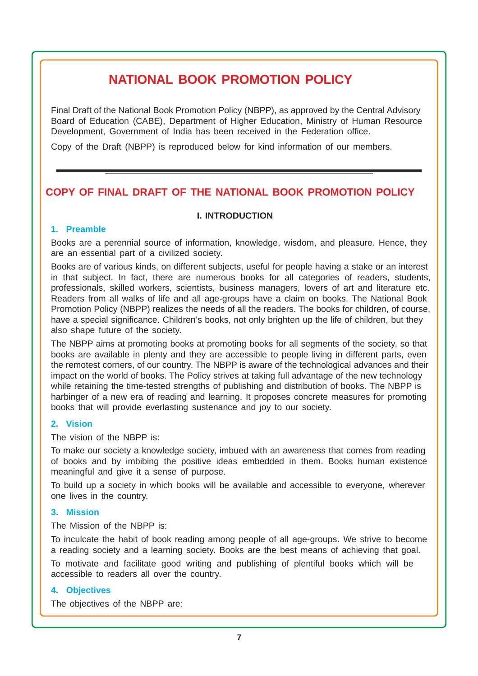# **NATIONAL BOOK PROMOTION POLICY**

Final Draft of the National Book Promotion Policy (NBPP), as approved by the Central Advisory Board of Education (CABE), Department of Higher Education, Ministry of Human Resource Development, Government of India has been received in the Federation office.

Copy of the Draft (NBPP) is reproduced below for kind information of our members.

## **COPY OF FINAL DRAFT OF THE NATIONAL BOOK PROMOTION POLICY**

#### **I. INTRODUCTION**

#### **1. Preamble**

Books are a perennial source of information, knowledge, wisdom, and pleasure. Hence, they are an essential part of a civilized society.

Books are of various kinds, on different subjects, useful for people having a stake or an interest in that subject. In fact, there are numerous books for all categories of readers, students, professionals, skilled workers, scientists, business managers, lovers of art and literature etc. Readers from all walks of life and all age-groups have a claim on books. The National Book Promotion Policy (NBPP) realizes the needs of all the readers. The books for children, of course, have a special significance. Children's books, not only brighten up the life of children, but they also shape future of the society.

The NBPP aims at promoting books at promoting books for all segments of the society, so that books are available in plenty and they are accessible to people living in different parts, even the remotest corners, of our country. The NBPP is aware of the technological advances and their impact on the world of books. The Policy strives at taking full advantage of the new technology while retaining the time-tested strengths of publishing and distribution of books. The NBPP is harbinger of a new era of reading and learning. It proposes concrete measures for promoting books that will provide everlasting sustenance and joy to our society.

### **2. Vision**

The vision of the NBPP is:

To make our society a knowledge society, imbued with an awareness that comes from reading of books and by imbibing the positive ideas embedded in them. Books human existence meaningful and give it a sense of purpose.

To build up a society in which books will be available and accessible to everyone, wherever one lives in the country.

#### **3. Mission**

The Mission of the NBPP is:

To inculcate the habit of book reading among people of all age-groups. We strive to become a reading society and a learning society. Books are the best means of achieving that goal. To motivate and facilitate good writing and publishing of plentiful books which will be accessible to readers all over the country.

### **4. Objectives**

The objectives of the NBPP are: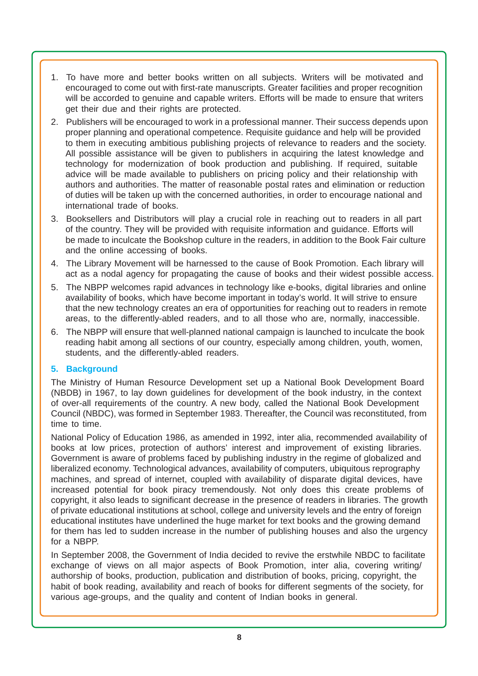- 1. To have more and better books written on all subjects. Writers will be motivated and encouraged to come out with first-rate manuscripts. Greater facilities and proper recognition will be accorded to genuine and capable writers. Efforts will be made to ensure that writers get their due and their rights are protected.
- 2. Publishers will be encouraged to work in a professional manner. Their success depends upon proper planning and operational competence. Requisite guidance and help will be provided to them in executing ambitious publishing projects of relevance to readers and the society. All possible assistance will be given to publishers in acquiring the latest knowledge and technology for modernization of book production and publishing. If required, suitable advice will be made available to publishers on pricing policy and their relationship with authors and authorities. The matter of reasonable postal rates and elimination or reduction of duties will be taken up with the concerned authorities, in order to encourage national and international trade of books.
- 3. Booksellers and Distributors will play a crucial role in reaching out to readers in all part of the country. They will be provided with requisite information and guidance. Efforts will be made to inculcate the Bookshop culture in the readers, in addition to the Book Fair culture and the online accessing of books.
- 4. The Library Movement will be harnessed to the cause of Book Promotion. Each library will act as a nodal agency for propagating the cause of books and their widest possible access.
- 5. The NBPP welcomes rapid advances in technology like e-books, digital libraries and online availability of books, which have become important in today's world. It will strive to ensure that the new technology creates an era of opportunities for reaching out to readers in remote areas, to the differently-abled readers, and to all those who are, normally, inaccessible.
- 6. The NBPP will ensure that well-planned national campaign is launched to inculcate the book reading habit among all sections of our country, especially among children, youth, women, students, and the differently-abled readers.

### **5. Background**

The Ministry of Human Resource Development set up a National Book Development Board (NBDB) in 1967, to lay down guidelines for development of the book industry, in the context of over-all requirements of the country. A new body, called the National Book Development Council (NBDC), was formed in September 1983. Thereafter, the Council was reconstituted, from time to time.

National Policy of Education 1986, as amended in 1992, inter alia, recommended availability of books at low prices, protection of authors' interest and improvement of existing libraries. Government is aware of problems faced by publishing industry in the regime of globalized and liberalized economy. Technological advances, availability of computers, ubiquitous reprography machines, and spread of internet, coupled with availability of disparate digital devices, have increased potential for book piracy tremendously. Not only does this create problems of copyright, it also leads to significant decrease in the presence of readers in libraries. The growth of private educational institutions at school, college and university levels and the entry of foreign educational institutes have underlined the huge market for text books and the growing demand for them has led to sudden increase in the number of publishing houses and also the urgency for a NBPP.

In September 2008, the Government of India decided to revive the erstwhile NBDC to facilitate exchange of views on all major aspects of Book Promotion, inter alia, covering writing/ authorship of books, production, publication and distribution of books, pricing, copyright, the habit of book reading, availability and reach of books for different segments of the society, for various age-groups, and the quality and content of Indian books in general.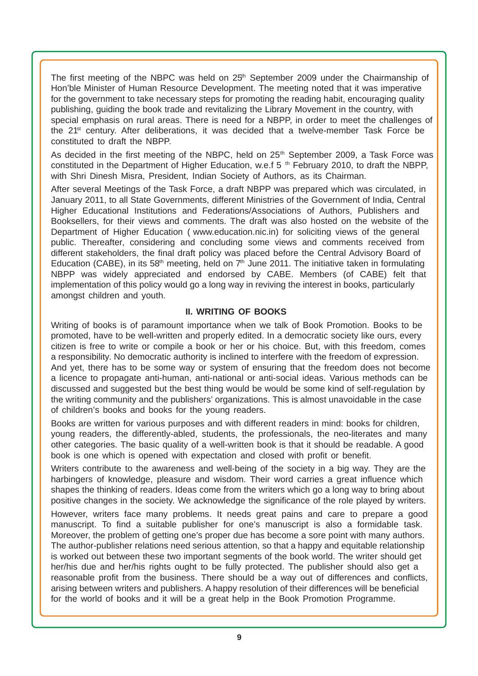The first meeting of the NBPC was held on  $25<sup>th</sup>$  September 2009 under the Chairmanship of Hon'ble Minister of Human Resource Development. The meeting noted that it was imperative for the government to take necessary steps for promoting the reading habit, encouraging quality publishing, guiding the book trade and revitalizing the Library Movement in the country, with special emphasis on rural areas. There is need for a NBPP, in order to meet the challenges of the 21<sup>st</sup> century. After deliberations, it was decided that a twelve-member Task Force be constituted to draft the NBPP.

As decided in the first meeting of the NBPC, held on 25<sup>th</sup> September 2009, a Task Force was constituted in the Department of Higher Education, w.e.f 5 <sup>th</sup> February 2010, to draft the NBPP, with Shri Dinesh Misra, President, Indian Society of Authors, as its Chairman.

After several Meetings of the Task Force, a draft NBPP was prepared which was circulated, in January 2011, to all State Governments, different Ministries of the Government of India, Central Higher Educational Institutions and Federations/Associations of Authors, Publishers and Booksellers, for their views and comments. The draft was also hosted on the website of the Department of Higher Education ( www.education.nic.in) for soliciting views of the general public. Thereafter, considering and concluding some views and comments received from different stakeholders, the final draft policy was placed before the Central Advisory Board of Education (CABE), in its 58<sup>th</sup> meeting, held on  $7<sup>th</sup>$  June 2011. The initiative taken in formulating NBPP was widely appreciated and endorsed by CABE. Members (of CABE) felt that implementation of this policy would go a long way in reviving the interest in books, particularly amongst children and youth.

#### **II. WRITING OF BOOKS**

Writing of books is of paramount importance when we talk of Book Promotion. Books to be promoted, have to be well-written and properly edited. In a democratic society like ours, every citizen is free to write or compile a book or her or his choice. But, with this freedom, comes a responsibility. No democratic authority is inclined to interfere with the freedom of expression. And yet, there has to be some way or system of ensuring that the freedom does not become a licence to propagate anti-human, anti-national or anti-social ideas. Various methods can be discussed and suggested but the best thing would be would be some kind of self-regulation by the writing community and the publishers' organizations. This is almost unavoidable in the case of children's books and books for the young readers.

Books are written for various purposes and with different readers in mind: books for children, young readers, the differently-abled, students, the professionals, the neo-literates and many other categories. The basic quality of a well-written book is that it should be readable. A good book is one which is opened with expectation and closed with profit or benefit.

Writers contribute to the awareness and well-being of the society in a big way. They are the harbingers of knowledge, pleasure and wisdom. Their word carries a great influence which shapes the thinking of readers. Ideas come from the writers which go a long way to bring about positive changes in the society. We acknowledge the significance of the role played by writers.

However, writers face many problems. It needs great pains and care to prepare a good manuscript. To find a suitable publisher for one's manuscript is also a formidable task. Moreover, the problem of getting one's proper due has become a sore point with many authors. The author-publisher relations need serious attention, so that a happy and equitable relationship is worked out between these two important segments of the book world. The writer should get her/his due and her/his rights ought to be fully protected. The publisher should also get a reasonable profit from the business. There should be a way out of differences and conflicts, arising between writers and publishers. A happy resolution of their differences will be beneficial for the world of books and it will be a great help in the Book Promotion Programme.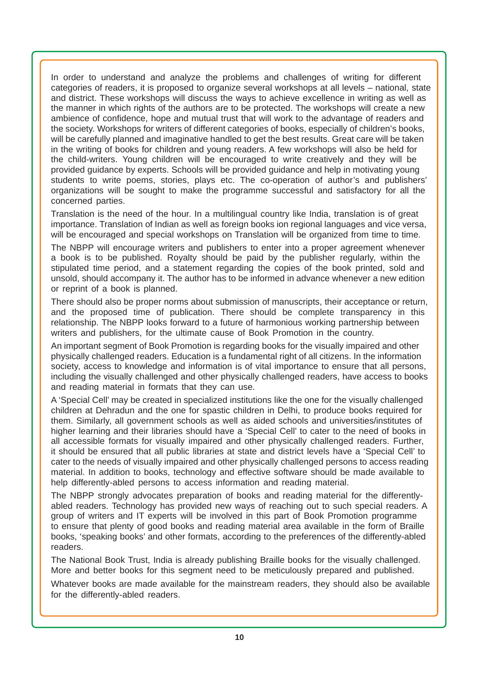In order to understand and analyze the problems and challenges of writing for different categories of readers, it is proposed to organize several workshops at all levels – national, state and district. These workshops will discuss the ways to achieve excellence in writing as well as the manner in which rights of the authors are to be protected. The workshops will create a new ambience of confidence, hope and mutual trust that will work to the advantage of readers and the society. Workshops for writers of different categories of books, especially of children's books, will be carefully planned and imaginative handled to get the best results. Great care will be taken in the writing of books for children and young readers. A few workshops will also be held for the child-writers. Young children will be encouraged to write creatively and they will be provided guidance by experts. Schools will be provided guidance and help in motivating young students to write poems, stories, plays etc. The co-operation of author's and publishers' organizations will be sought to make the programme successful and satisfactory for all the concerned parties.

Translation is the need of the hour. In a multilingual country like India, translation is of great importance. Translation of Indian as well as foreign books ion regional languages and vice versa, will be encouraged and special workshops on Translation will be organized from time to time.

The NBPP will encourage writers and publishers to enter into a proper agreement whenever a book is to be published. Royalty should be paid by the publisher regularly, within the stipulated time period, and a statement regarding the copies of the book printed, sold and unsold, should accompany it. The author has to be informed in advance whenever a new edition or reprint of a book is planned.

There should also be proper norms about submission of manuscripts, their acceptance or return, and the proposed time of publication. There should be complete transparency in this relationship. The NBPP looks forward to a future of harmonious working partnership between writers and publishers, for the ultimate cause of Book Promotion in the country.

An important segment of Book Promotion is regarding books for the visually impaired and other physically challenged readers. Education is a fundamental right of all citizens. In the information society, access to knowledge and information is of vital importance to ensure that all persons, including the visually challenged and other physically challenged readers, have access to books and reading material in formats that they can use.

A 'Special Cell' may be created in specialized institutions like the one for the visually challenged children at Dehradun and the one for spastic children in Delhi, to produce books required for them. Similarly, all government schools as well as aided schools and universities/institutes of higher learning and their libraries should have a 'Special Cell' to cater to the need of books in all accessible formats for visually impaired and other physically challenged readers. Further, it should be ensured that all public libraries at state and district levels have a 'Special Cell' to cater to the needs of visually impaired and other physically challenged persons to access reading material. In addition to books, technology and effective software should be made available to help differently-abled persons to access information and reading material.

The NBPP strongly advocates preparation of books and reading material for the differentlyabled readers. Technology has provided new ways of reaching out to such special readers. A group of writers and IT experts will be involved in this part of Book Promotion programme to ensure that plenty of good books and reading material area available in the form of Braille books, 'speaking books' and other formats, according to the preferences of the differently-abled readers.

The National Book Trust, India is already publishing Braille books for the visually challenged. More and better books for this segment need to be meticulously prepared and published.

Whatever books are made available for the mainstream readers, they should also be available for the differently-abled readers.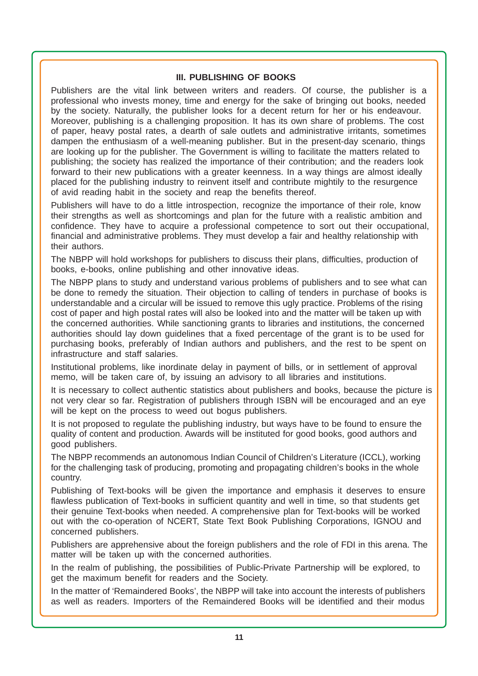#### **III. PUBLISHING OF BOOKS**

Publishers are the vital link between writers and readers. Of course, the publisher is a professional who invests money, time and energy for the sake of bringing out books, needed by the society. Naturally, the publisher looks for a decent return for her or his endeavour. Moreover, publishing is a challenging proposition. It has its own share of problems. The cost of paper, heavy postal rates, a dearth of sale outlets and administrative irritants, sometimes dampen the enthusiasm of a well-meaning publisher. But in the present-day scenario, things are looking up for the publisher. The Government is willing to facilitate the matters related to publishing; the society has realized the importance of their contribution; and the readers look forward to their new publications with a greater keenness. In a way things are almost ideally placed for the publishing industry to reinvent itself and contribute mightily to the resurgence of avid reading habit in the society and reap the benefits thereof.

Publishers will have to do a little introspection, recognize the importance of their role, know their strengths as well as shortcomings and plan for the future with a realistic ambition and confidence. They have to acquire a professional competence to sort out their occupational, financial and administrative problems. They must develop a fair and healthy relationship with their authors.

The NBPP will hold workshops for publishers to discuss their plans, difficulties, production of books, e-books, online publishing and other innovative ideas.

The NBPP plans to study and understand various problems of publishers and to see what can be done to remedy the situation. Their objection to calling of tenders in purchase of books is understandable and a circular will be issued to remove this ugly practice. Problems of the rising cost of paper and high postal rates will also be looked into and the matter will be taken up with the concerned authorities. While sanctioning grants to libraries and institutions, the concerned authorities should lay down guidelines that a fixed percentage of the grant is to be used for purchasing books, preferably of Indian authors and publishers, and the rest to be spent on infrastructure and staff salaries.

Institutional problems, like inordinate delay in payment of bills, or in settlement of approval memo, will be taken care of, by issuing an advisory to all libraries and institutions.

It is necessary to collect authentic statistics about publishers and books, because the picture is not very clear so far. Registration of publishers through ISBN will be encouraged and an eye will be kept on the process to weed out bogus publishers.

It is not proposed to regulate the publishing industry, but ways have to be found to ensure the quality of content and production. Awards will be instituted for good books, good authors and good publishers.

The NBPP recommends an autonomous Indian Council of Children's Literature (ICCL), working for the challenging task of producing, promoting and propagating children's books in the whole country.

Publishing of Text-books will be given the importance and emphasis it deserves to ensure flawless publication of Text-books in sufficient quantity and well in time, so that students get their genuine Text-books when needed. A comprehensive plan for Text-books will be worked out with the co-operation of NCERT, State Text Book Publishing Corporations, IGNOU and concerned publishers.

Publishers are apprehensive about the foreign publishers and the role of FDI in this arena. The matter will be taken up with the concerned authorities.

In the realm of publishing, the possibilities of Public-Private Partnership will be explored, to get the maximum benefit for readers and the Society.

In the matter of 'Remaindered Books', the NBPP will take into account the interests of publishers as well as readers. Importers of the Remaindered Books will be identified and their modus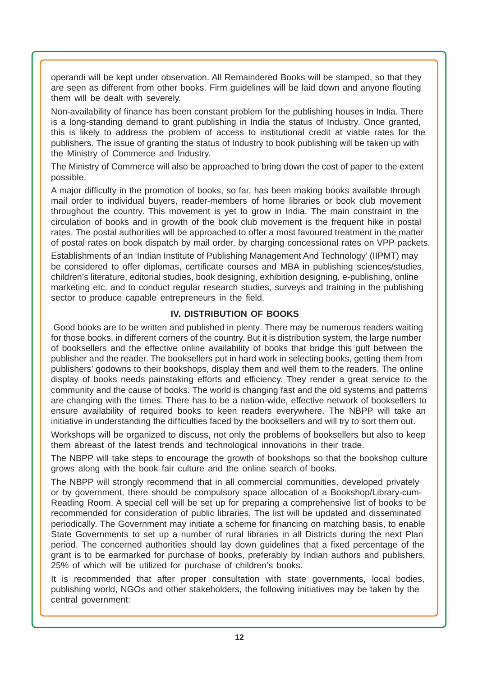operandi will be kept under observation. All Remaindered Books will be stamped, so that they are seen as different from other books. Firm guidelines will be laid down and anyone flouting them will be dealt with severely.

Non-availability of finance has been constant problem for the publishing houses in India. There is a long-standing demand to grant publishing in India the status of Industry. Once granted, this is likely to address the problem of access to institutional credit at viable rates for the publishers. The issue of granting the status of Industry to book publishing will be taken up with the Ministry of Commerce and Industry.

The Ministry of Commerce will also be approached to bring down the cost of paper to the extent possible.

A major difficulty in the promotion of books, so far, has been making books available through mail order to individual buyers, reader-members of home libraries or book club movement throughout the country. This movement is yet to grow in India. The main constraint in the circulation of books and in growth of the book club movement is the frequent hike in postal rates. The postal authorities will be approached to offer a most favoured treatment in the matter of postal rates on book dispatch by mail order, by charging concessional rates on VPP packets.

Establishments of an 'Indian Institute of Publishing Management And Technology' (IIPMT) may be considered to offer diplomas, certificate courses and MBA in publishing sciences/studies, children's literature, editorial studies, book designing, exhibition designing, e-publishing, online marketing etc. and to conduct regular research studies, surveys and training in the publishing sector to produce capable entrepreneurs in the field.

### **IV. DISTRIBUTION OF BOOKS**

 Good books are to be written and published in plenty. There may be numerous readers waiting for those books, in different corners of the country. But it is distribution system, the large number of booksellers and the effective online availability of books that bridge this gulf between the publisher and the reader. The booksellers put in hard work in selecting books, getting them from publishers' godowns to their bookshops, display them and well them to the readers. The online display of books needs painstaking efforts and efficiency. They render a great service to the community and the cause of books. The world is changing fast and the old systems and patterns are changing with the times. There has to be a nation-wide, effective network of booksellers to ensure availability of required books to keen readers everywhere. The NBPP will take an initiative in understanding the difficulties faced by the booksellers and will try to sort them out.

Workshops will be organized to discuss, not only the problems of booksellers but also to keep them abreast of the latest trends and technological innovations in their trade.

The NBPP will take steps to encourage the growth of bookshops so that the bookshop culture grows along with the book fair culture and the online search of books.

The NBPP will strongly recommend that in all commercial communities, developed privately or by government, there should be compulsory space allocation of a Bookshop/Library-cum-Reading Room. A special cell will be set up for preparing a comprehensive list of books to be recommended for consideration of public libraries. The list will be updated and disseminated periodically. The Government may initiate a scheme for financing on matching basis, to enable State Governments to set up a number of rural libraries in all Districts during the next Plan period. The concerned authorities should lay down guidelines that a fixed percentage of the grant is to be earmarked for purchase of books, preferably by Indian authors and publishers, 25% of which will be utilized for purchase of children's books.

It is recommended that after proper consultation with state governments, local bodies, publishing world, NGOs and other stakeholders, the following initiatives may be taken by the central government: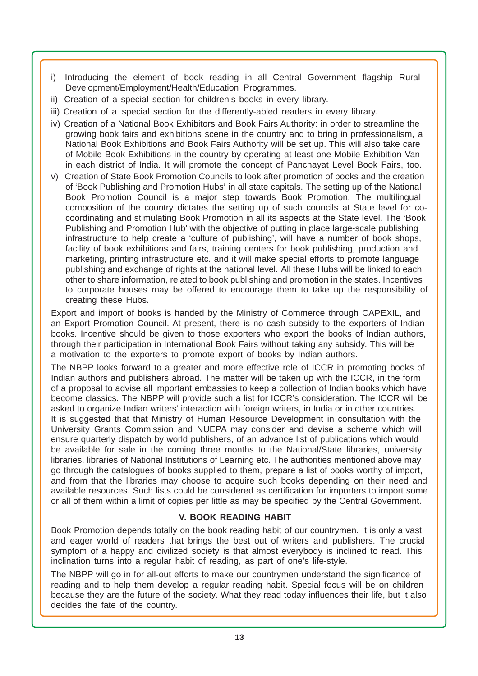- i) Introducing the element of book reading in all Central Government flagship Rural Development/Employment/Health/Education Programmes.
- ii) Creation of a special section for children's books in every library.
- iii) Creation of a special section for the differently-abled readers in every library.
- iv) Creation of a National Book Exhibitors and Book Fairs Authority: in order to streamline the growing book fairs and exhibitions scene in the country and to bring in professionalism, a National Book Exhibitions and Book Fairs Authority will be set up. This will also take care of Mobile Book Exhibitions in the country by operating at least one Mobile Exhibition Van in each district of India. It will promote the concept of Panchayat Level Book Fairs, too.
- v) Creation of State Book Promotion Councils to look after promotion of books and the creation of 'Book Publishing and Promotion Hubs' in all state capitals. The setting up of the National Book Promotion Council is a major step towards Book Promotion. The multilingual composition of the country dictates the setting up of such councils at State level for cocoordinating and stimulating Book Promotion in all its aspects at the State level. The 'Book Publishing and Promotion Hub' with the objective of putting in place large-scale publishing infrastructure to help create a 'culture of publishing', will have a number of book shops, facility of book exhibitions and fairs, training centers for book publishing, production and marketing, printing infrastructure etc. and it will make special efforts to promote language publishing and exchange of rights at the national level. All these Hubs will be linked to each other to share information, related to book publishing and promotion in the states. Incentives to corporate houses may be offered to encourage them to take up the responsibility of creating these Hubs.

Export and import of books is handed by the Ministry of Commerce through CAPEXIL, and an Export Promotion Council. At present, there is no cash subsidy to the exporters of Indian books. Incentive should be given to those exporters who export the books of Indian authors, through their participation in International Book Fairs without taking any subsidy. This will be a motivation to the exporters to promote export of books by Indian authors.

The NBPP looks forward to a greater and more effective role of ICCR in promoting books of Indian authors and publishers abroad. The matter will be taken up with the ICCR, in the form of a proposal to advise all important embassies to keep a collection of Indian books which have become classics. The NBPP will provide such a list for ICCR's consideration. The ICCR will be asked to organize Indian writers' interaction with foreign writers, in India or in other countries. It is suggested that that Ministry of Human Resource Development in consultation with the University Grants Commission and NUEPA may consider and devise a scheme which will ensure quarterly dispatch by world publishers, of an advance list of publications which would be available for sale in the coming three months to the National/State libraries, university libraries, libraries of National Institutions of Learning etc. The authorities mentioned above may go through the catalogues of books supplied to them, prepare a list of books worthy of import, and from that the libraries may choose to acquire such books depending on their need and available resources. Such lists could be considered as certification for importers to import some or all of them within a limit of copies per little as may be specified by the Central Government.

### **V. BOOK READING HABIT**

Book Promotion depends totally on the book reading habit of our countrymen. It is only a vast and eager world of readers that brings the best out of writers and publishers. The crucial symptom of a happy and civilized society is that almost everybody is inclined to read. This inclination turns into a regular habit of reading, as part of one's life-style.

The NBPP will go in for all-out efforts to make our countrymen understand the significance of reading and to help them develop a regular reading habit. Special focus will be on children because they are the future of the society. What they read today influences their life, but it also decides the fate of the country.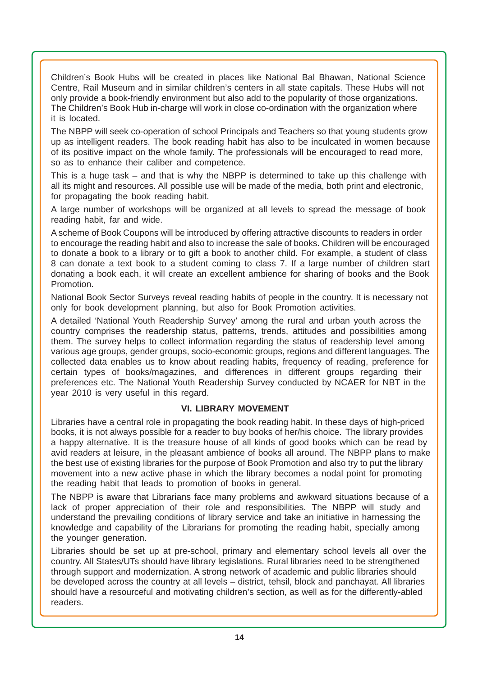Children's Book Hubs will be created in places like National Bal Bhawan, National Science Centre, Rail Museum and in similar children's centers in all state capitals. These Hubs will not only provide a book-friendly environment but also add to the popularity of those organizations. The Children's Book Hub in-charge will work in close co-ordination with the organization where it is located.

The NBPP will seek co-operation of school Principals and Teachers so that young students grow up as intelligent readers. The book reading habit has also to be inculcated in women because of its positive impact on the whole family. The professionals will be encouraged to read more, so as to enhance their caliber and competence.

This is a huge task – and that is why the NBPP is determined to take up this challenge with all its might and resources. All possible use will be made of the media, both print and electronic, for propagating the book reading habit.

A large number of workshops will be organized at all levels to spread the message of book reading habit, far and wide.

A scheme of Book Coupons will be introduced by offering attractive discounts to readers in order to encourage the reading habit and also to increase the sale of books. Children will be encouraged to donate a book to a library or to gift a book to another child. For example, a student of class 8 can donate a text book to a student coming to class 7. If a large number of children start donating a book each, it will create an excellent ambience for sharing of books and the Book Promotion.

National Book Sector Surveys reveal reading habits of people in the country. It is necessary not only for book development planning, but also for Book Promotion activities.

A detailed 'National Youth Readership Survey' among the rural and urban youth across the country comprises the readership status, patterns, trends, attitudes and possibilities among them. The survey helps to collect information regarding the status of readership level among various age groups, gender groups, socio-economic groups, regions and different languages. The collected data enables us to know about reading habits, frequency of reading, preference for certain types of books/magazines, and differences in different groups regarding their preferences etc. The National Youth Readership Survey conducted by NCAER for NBT in the year 2010 is very useful in this regard.

### **VI. LIBRARY MOVEMENT**

Libraries have a central role in propagating the book reading habit. In these days of high-priced books, it is not always possible for a reader to buy books of her/his choice. The library provides a happy alternative. It is the treasure house of all kinds of good books which can be read by avid readers at leisure, in the pleasant ambience of books all around. The NBPP plans to make the best use of existing libraries for the purpose of Book Promotion and also try to put the library movement into a new active phase in which the library becomes a nodal point for promoting the reading habit that leads to promotion of books in general.

The NBPP is aware that Librarians face many problems and awkward situations because of a lack of proper appreciation of their role and responsibilities. The NBPP will study and understand the prevailing conditions of library service and take an initiative in harnessing the knowledge and capability of the Librarians for promoting the reading habit, specially among the younger generation.

Libraries should be set up at pre-school, primary and elementary school levels all over the country. All States/UTs should have library legislations. Rural libraries need to be strengthened through support and modernization. A strong network of academic and public libraries should be developed across the country at all levels – district, tehsil, block and panchayat. All libraries should have a resourceful and motivating children's section, as well as for the differently-abled readers.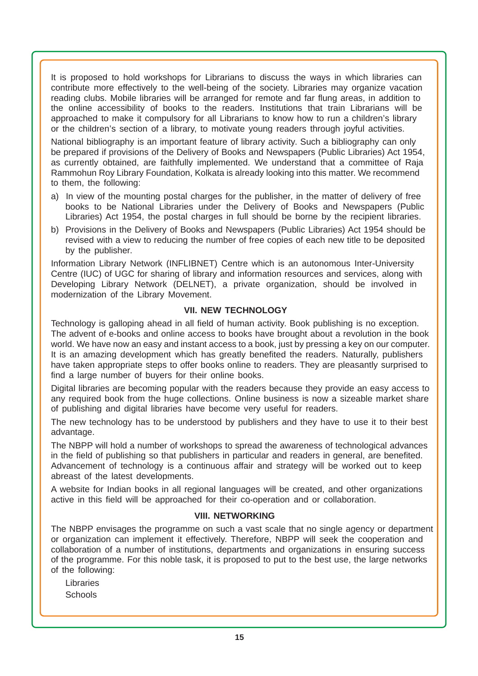It is proposed to hold workshops for Librarians to discuss the ways in which libraries can contribute more effectively to the well-being of the society. Libraries may organize vacation reading clubs. Mobile libraries will be arranged for remote and far flung areas, in addition to the online accessibility of books to the readers. Institutions that train Librarians will be approached to make it compulsory for all Librarians to know how to run a children's library or the children's section of a library, to motivate young readers through joyful activities.

National bibliography is an important feature of library activity. Such a bibliography can only be prepared if provisions of the Delivery of Books and Newspapers (Public Libraries) Act 1954, as currently obtained, are faithfully implemented. We understand that a committee of Raja Rammohun Roy Library Foundation, Kolkata is already looking into this matter. We recommend to them, the following:

- a) In view of the mounting postal charges for the publisher, in the matter of delivery of free books to be National Libraries under the Delivery of Books and Newspapers (Public Libraries) Act 1954, the postal charges in full should be borne by the recipient libraries.
- b) Provisions in the Delivery of Books and Newspapers (Public Libraries) Act 1954 should be revised with a view to reducing the number of free copies of each new title to be deposited by the publisher.

Information Library Network (INFLIBNET) Centre which is an autonomous Inter-University Centre (IUC) of UGC for sharing of library and information resources and services, along with Developing Library Network (DELNET), a private organization, should be involved in modernization of the Library Movement.

#### **VII. NEW TECHNOLOGY**

Technology is galloping ahead in all field of human activity. Book publishing is no exception. The advent of e-books and online access to books have brought about a revolution in the book world. We have now an easy and instant access to a book, just by pressing a key on our computer. It is an amazing development which has greatly benefited the readers. Naturally, publishers have taken appropriate steps to offer books online to readers. They are pleasantly surprised to find a large number of buyers for their online books.

Digital libraries are becoming popular with the readers because they provide an easy access to any required book from the huge collections. Online business is now a sizeable market share of publishing and digital libraries have become very useful for readers.

The new technology has to be understood by publishers and they have to use it to their best advantage.

The NBPP will hold a number of workshops to spread the awareness of technological advances in the field of publishing so that publishers in particular and readers in general, are benefited. Advancement of technology is a continuous affair and strategy will be worked out to keep abreast of the latest developments.

A website for Indian books in all regional languages will be created, and other organizations active in this field will be approached for their co-operation and or collaboration.

#### **VIII. NETWORKING**

The NBPP envisages the programme on such a vast scale that no single agency or department or organization can implement it effectively. Therefore, NBPP will seek the cooperation and collaboration of a number of institutions, departments and organizations in ensuring success of the programme. For this noble task, it is proposed to put to the best use, the large networks of the following:

Libraries **Schools**